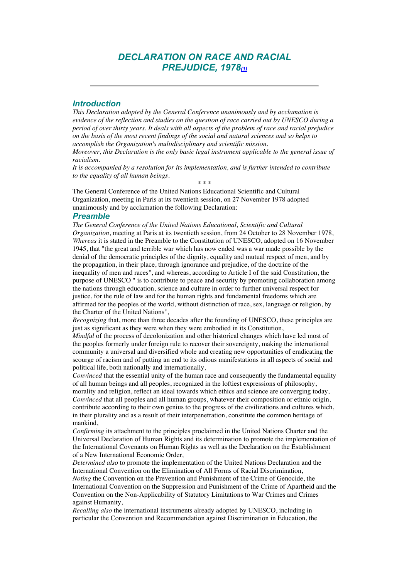# *DECLARATION ON RACE AND RACIAL PREJUDICE, 1978(1)*

## *Introduction*

*This Declaration adopted by the General Conference unanimously and by acclamation is evidence of the reflection and studies on the question of race carried out by UNESCO during a period of over thirty years. It deals with all aspects of the problem of race and racial prejudice on the basis of the most recent findings of the social and natural sciences and so helps to accomplish the Organization's multidisciplinary and scientific mission.* 

*Moreover, this Declaration is the only basic legal instrument applicable to the general issue of racialism.* 

*It is accompanied by a resolution for its implementation, and is further intended to contribute to the equality of all human beings.*  \* \* \*

The General Conference of the United Nations Educational Scientific and Cultural Organization, meeting in Paris at its twentieth session, on 27 November 1978 adopted unanimously and by acclamation the following Declaration:

#### *Preamble*

*The General Conference of the United Nations Educational, Scientific and Cultural Organization*, meeting at Paris at its twentieth session, from 24 October to 28 November 1978, *Whereas* it is stated in the Preamble to the Constitution of UNESCO, adopted on 16 November 1945, that "the great and terrible war which has now ended was a war made possible by the denial of the democratic principles of the dignity, equality and mutual respect of men, and by the propagation, in their place, through ignorance and prejudice, of the doctrine of the inequality of men and races", and whereas, according to Article I of the said Constitution, the purpose of UNESCO " is to contribute to peace and security by promoting collaboration among the nations through education, science and culture in order to further universal respect for justice, for the rule of law and for the human rights and fundamental freedoms which are affirmed for the peoples of the world, without distinction of race, sex, language or religion, by the Charter of the United Nations",

*Recognizing* that, more than three decades after the founding of UNESCO, these principles are just as significant as they were when they were embodied in its Constitution,

*Mindful* of the process of decolonization and other historical changes which have led most of the peoples formerly under foreign rule to recover their sovereignty, making the international community a universal and diversified whole and creating new opportunities of eradicating the scourge of racism and of putting an end to its odious manifestations in all aspects of social and political life, both nationally and internationally,

*Convinced* that the essential unity of the human race and consequently the fundamental equality of all human beings and all peoples, recognized in the loftiest expressions of philosophy, morality and religion, reflect an ideal towards which ethics and science are converging today, *Convinced* that all peoples and all human groups, whatever their composition or ethnic origin, contribute according to their own genius to the progress of the civilizations and cultures which, in their plurality and as a result of their interpenetration, constitute the common heritage of mankind,

*Confirming* its attachment to the principles proclaimed in the United Nations Charter and the Universal Declaration of Human Rights and its determination to promote the implementation of the International Covenants on Human Rights as well as the Declaration on the Establishment of a New International Economic Order,

*Determined also* to promote the implementation of the United Nations Declaration and the International Convention on the Elimination of All Forms of Racial Discrimination, *Noting* the Convention on the Prevention and Punishment of the Crime of Genocide, the International Convention on the Suppression and Punishment of the Crime of Apartheid and the Convention on the Non-Applicability of Statutory Limitations to War Crimes and Crimes against Humanity,

*Recalling also* the international instruments already adopted by UNESCO, including in particular the Convention and Recommendation against Discrimination in Education, the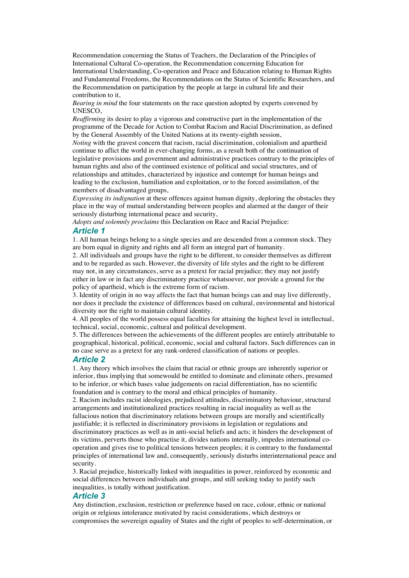Recommendation concerning the Status of Teachers, the Declaration of the Principles of International Cultural Co-operation, the Recommendation concerning Education for International Understanding, Co-operation and Peace and Education relating to Human Rights and Fundamental Freedoms, the Recommendations on the Status of Scientific Researchers, and the Recommendation on participation by the people at large in cultural life and their contribution to it,

*Bearing in mind* the four statements on the race question adopted by experts convened by UNESCO,

*Reaffirming* its desire to play a vigorous and constructive part in the implementation of the programme of the Decade for Action to Combat Racism and Racial Discrimination, as defined by the General Assembly of the United Nations at its twenty-eighth session,

*Noting* with the gravest concern that racism, racial discrimination, colonialism and apartheid continue to aflict the world in ever-changing forms, as a result both of the continuation of legislative provisions and government and administrative practices contrary to the principles of human rights and also of the continued existence of political and social structures, and of relationships and attitudes, characterized by injustice and contempt for human beings and leading to the exclusion, humiliation and exploitation, or to the forced assimilation, of the members of disadvantaged groups,

*Expressing its indignation* at these offences against human dignity, deploring the obstacles they place in the way of mutual understanding between peoples and alarmed at the danger of their seriously disturbing international peace and security,

*Adopts and solemnly proclaims* this Declaration on Race and Racial Prejudice:

## *Article 1*

1. All human beings belong to a single species and are descended from a common stock. They are born equal in dignity and rights and all form an integral part of humanity.

2. All individuals and groups have the right to be different, to consider themselves as different and to be regarded as such. However, the diversity of life styles and the right to be different may not, in any circumstances, serve as a pretext for racial prejudice; they may not justify either in law or in fact any discriminatory practice whatsoever, nor provide a ground for the policy of apartheid, which is the extreme form of racism.

3. Identity of origin in no way affects the fact that human beings can and may live differently, nor does it preclude the existence of differences based on cultural, environmental and historical diversity nor the right to maintain cultural identity.

4. All peoples of the world possess equal faculties for attaining the highest level in intellectual, technical, social, economic, cultural and political development.

5. The differences between the achievements of the different peoples are entirely attributable to geographical, historical, political, economic, social and cultural factors. Such differences can in no case serve as a pretext for any rank-ordered classification of nations or peoples.

## *Article 2*

1. Any theory which involves the claim that racial or ethnic groups are inherently superior or inferior, thus implying that somewould be entitled to dominate and eliminate others, presumed to be inferior, or which bases value judgements on racial differentiation, has no scientific foundation and is contrary to the moral and ethical principles of humanity.

2. Racism includes racist ideologies, prejudiced attitudes, discriminatory behaviour, structural arrangements and institutionalized practices resulting in racial inequality as well as the fallacious notion that discriminatory relations between groups are morally and scientifically justifiable; it is reflected in discriminatory provisions in legislation or regulations and discriminatory practices as well as in anti-social beliefs and acts; it hinders the development of its victims, perverts those who practise it, divides nations internally, impedes international cooperation and gives rise to political tensions between peoples; it is contrary to the fundamental principles of international law and, consequently, seriously disturbs interinternational peace and security.

3. Racial prejudice, historically linked with inequalities in power, reinforced by economic and social differences between individuals and groups, and still seeking today to justify such inequalities, is totally without justification.

## *Article 3*

Any distinction, exclusion, restriction or preference based on race, colour, ethnic or national origin or relgious intolerance motivated by racist considerations, which destroys or compromises the sovereign equality of States and the right of peoples to self-determination, or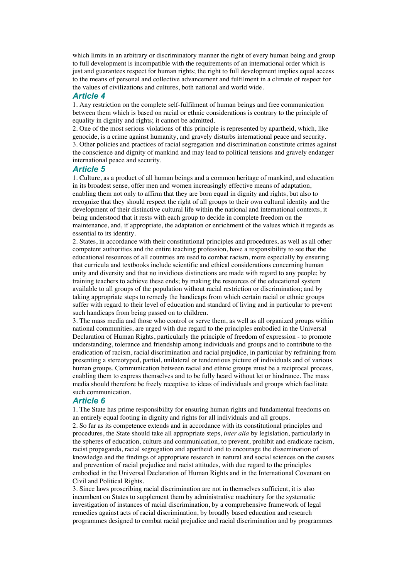which limits in an arbitrary or discriminatory manner the right of every human being and group to full development is incompatible with the requirements of an international order which is just and guarantees respect for human rights; the right to full development implies equal access to the means of personal and collective advancement and fulfilment in a climate of respect for the values of civilizations and cultures, both national and world wide.

#### *Article 4*

1. Any restriction on the complete self-fulfilment of human beings and free communication between them which is based on racial or ethnic considerations is contrary to the principle of equality in dignity and rights; it cannot be admitted.

2. One of the most serious violations of this principle is represented by apartheid, which, like genocide, is a crime against humanity, and gravely disturbs international peace and security. 3. Other policies and practices of racial segregation and discrimination constitute crimes against the conscience and dignity of mankind and may lead to political tensions and gravely endanger international peace and security.

### *Article 5*

1. Culture, as a product of all human beings and a common heritage of mankind, and education in its broadest sense, offer men and women increasingly effective means of adaptation, enabling them not only to affirm that they are born equal in dignity and rights, but also to recognize that they should respect the right of all groups to their own cultural identity and the development of their distinctive cultural life within the national and international contexts, it being understood that it rests with each group to decide in complete freedom on the maintenance, and, if appropriate, the adaptation or enrichment of the values which it regards as essential to its identity.

2. States, in accordance with their constitutional principles and procedures, as well as all other competent authorities and the entire teaching profession, have a responsibility to see that the educational resources of all countries are used to combat racism, more especially by ensuring that curricula and textbooks include scientific and ethical considerations concerning human unity and diversity and that no invidious distinctions are made with regard to any people; by training teachers to achieve these ends; by making the resources of the educational system available to all groups of the population without racial restriction or discrimination; and by taking appropriate steps to remedy the handicaps from which certain racial or ethnic groups suffer with regard to their level of education and standard of living and in particular to prevent such handicaps from being passed on to children.

3. The mass media and those who control or serve them, as well as all organized groups within national communities, are urged with due regard to the principles embodied in the Universal Declaration of Human Rights, particularly the principle of freedom of expression - to promote understanding, tolerance and friendship among individuals and groups and to contribute to the eradication of racism, racial discrimination and racial prejudice, in particular by refraining from presenting a stereotyped, partial, unilateral or tendentious picture of individuals and of various human groups. Communication between racial and ethnic groups must be a reciprocal process, enabling them to express themselves and to be fully heard without let or hindrance. The mass media should therefore be freely receptive to ideas of individuals and groups which facilitate such communication.

#### *Article 6*

1. The State has prime responsibility for ensuring human rights and fundamental freedoms on an entirely equal footing in dignity and rights for all individuals and all groups.

2. So far as its competence extends and in accordance with its constitutional principles and procedures, the State should take all appropriate steps, *inter alia* by legislation, particularly in the spheres of education, culture and communication, to prevent, prohibit and eradicate racism, racist propaganda, racial segregation and apartheid and to encourage the dissemination of knowledge and the findings of appropriate research in natural and social sciences on the causes and prevention of racial prejudice and racist attitudes, with due regard to the principles embodied in the Universal Declaration of Human Rights and in the International Covenant on Civil and Political Rights.

3. Since laws proscribing racial discrimination are not in themselves sufficient, it is also incumbent on States to supplement them by administrative machinery for the systematic investigation of instances of racial discrimination, by a comprehensive framework of legal remedies against acts of racial discrimination, by broadly based education and research programmes designed to combat racial prejudice and racial discrimination and by programmes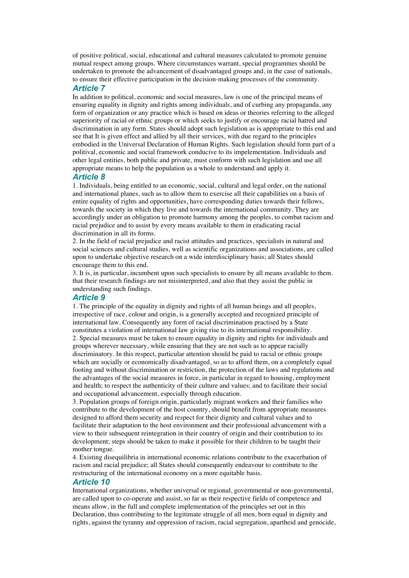of positive political, social, educational and cultural measures calculated to promote genuine mutual respect among groups. Where circumstances warrant, special programmes should be undertaken to promote the advancement of disadvantaged groups and, in the case of nationals, to ensure their effective participation in the decision-making processes of the community.

#### *Article 7*

In addition to political, economic and social measures, law is one of the principal means of ensuring equality in dignity and rights among individuals, and of curbing any propaganda, any form of organization or any practice which is based on ideas or theories referring to the alleged superiority of racial or ethnic groups or which seeks to justify or encourage racial hatred and discrimination in any form. States should adopt such legislation as is appropriate to this end and see that It is given effect and allied by all their services, with due regard to the principles embodied in the Universal Declaration of Human Rights. Such legislation should form part of a politival, economic and social framework conducive to its impelementation. Individuals and other legal entities, both public and private, must conform with such legislation and use all appropriate means to help the population as a whole to understand and apply it.

## *Article 8*

1. Individuals, being entitled to an economic, social, cultural and legal order, on the national and international planes, such as to allow them to exercise all their capabilities on a basis of entire equality of rights and opportunities, have corresponding duties towards their fellows, towards the society in which they live and towards the international community. They are accordingly under an obligation to promote harmony among the peoples, to combat racism and racial prejudice and to assist by every means available to them in eradicating racial discrimination in all its forms.

2. In the field of racial prejudice and racist attitudes and practices, specialists in natural and social sciences and cultural studies, well as scientific organizations and associations, are called upon to undertake objective research on a wide interdisciplinary basis; all States should encourage them to this end.

3. It is, in particular, incumbent upon such specialists to ensure by all means available to them. that their research findings are not misinterpreted, and also that they assist the public in understanding such findings.

## *Article 9*

1. The principle of the equality in dignity and rights of all human beings and all peoples, irrespective of race, colour and origin, is a generally accepted and recognized principle of international law. Consequently any form of racial discrimination practised by a State constitutes a violation of international law giving rise to its international responsibility. 2. Special measures must be taken to ensure equality in dignity and rights for individuals and groups wherever necessary, while ensuring that they are not such as to appear racially discriminatory. In this respect, particular attention should be paid to racial or ethnic groups which are socially or economically disadvantaged, so as to afford them, on a completely equal footing and without discrimination or restriction, the protection of the laws and regulations and the advantages of the social measures in force, in particular in regard to housing, employment and health; to respect the authenticity of their culture and values; and to facilitate their social and occupational advancement, especially through education.

3. Population groups of foreign origin, particularly migrant workers and their families who contribute to the development of the host country, should benefit from appropriate measures designed to afford them security and respect for their dignity and cultural values and to facilitate their adaptation to the host environment and their professional advancement with a view to their subsequent reintegration in their country of origin and their contribution to its development; steps should be taken to make it possible for their children to be taught their mother tongue.

4. Existing disequilibria in international economic relations contribute to the exacerbation of racism and racial prejudice; all States should consequently endeavour to contribute to the restructuring of the international economy on a more equitable basis.

#### *Article 10*

International organizations, whether universal or regional, governmental or non-governmental, are called upon to co-operate and assist, so far as their respective fields of competence and means allow, in the full and complete implementation of the principles set out in this Declaration, thus contributing to the legitimate struggle of all men, born equal in dignity and rights, against the tyranny and oppression of racism, racial segregation, apartheid and genocide,